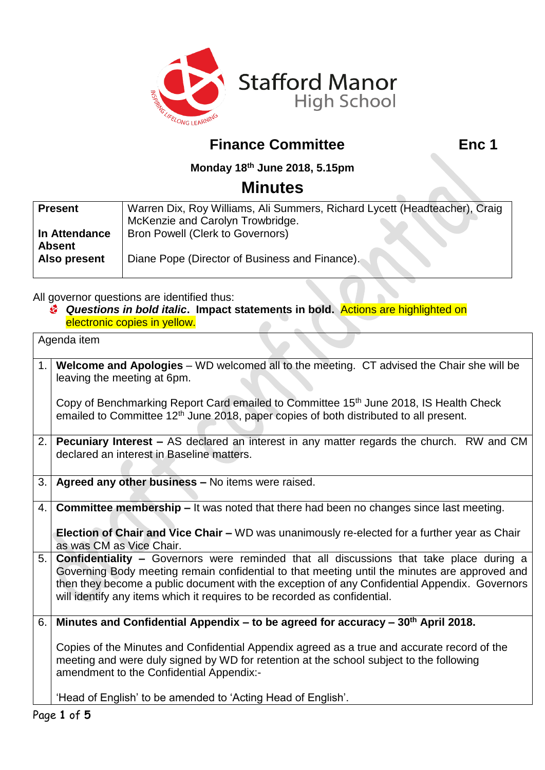

# **Finance Committee Finance Committee Enc 1**

 $\overline{\phantom{a}}$ 

## **Monday 18th June 2018, 5.15pm**

# **Minutes**

| <b>Present</b> | Warren Dix, Roy Williams, Ali Summers, Richard Lycett (Headteacher), Craig |  |  |
|----------------|----------------------------------------------------------------------------|--|--|
|                | McKenzie and Carolyn Trowbridge.                                           |  |  |
| In Attendance  | Bron Powell (Clerk to Governors)                                           |  |  |
| <b>Absent</b>  |                                                                            |  |  |
| Also present   | Diane Pope (Director of Business and Finance).                             |  |  |
|                |                                                                            |  |  |

All governor questions are identified thus:

*Questions in bold italic***. Impact statements in bold.** Actions are highlighted on electronic copies in yellow.

| Agenda item |                                                                                                                                                                                                                                                                                                                                                                               |  |  |  |
|-------------|-------------------------------------------------------------------------------------------------------------------------------------------------------------------------------------------------------------------------------------------------------------------------------------------------------------------------------------------------------------------------------|--|--|--|
| 1.1         | Welcome and Apologies - WD welcomed all to the meeting. CT advised the Chair she will be<br>leaving the meeting at 6pm.                                                                                                                                                                                                                                                       |  |  |  |
|             | Copy of Benchmarking Report Card emailed to Committee 15 <sup>th</sup> June 2018, IS Health Check<br>emailed to Committee 12 <sup>th</sup> June 2018, paper copies of both distributed to all present.                                                                                                                                                                        |  |  |  |
| 2.1         | <b>Pecuniary Interest – AS declared an interest in any matter regards the church. RW and CM</b><br>declared an interest in Baseline matters.                                                                                                                                                                                                                                  |  |  |  |
| 3.1         | Agreed any other business - No items were raised.                                                                                                                                                                                                                                                                                                                             |  |  |  |
| 4.1         | <b>Committee membership - It was noted that there had been no changes since last meeting.</b>                                                                                                                                                                                                                                                                                 |  |  |  |
|             | <b>Election of Chair and Vice Chair –</b> WD was unanimously re-elected for a further year as Chair<br>as was CM as Vice Chair.                                                                                                                                                                                                                                               |  |  |  |
| 5.          | <b>Confidentiality -</b> Governors were reminded that all discussions that take place during a<br>Governing Body meeting remain confidential to that meeting until the minutes are approved and<br>then they become a public document with the exception of any Confidential Appendix. Governors<br>will identify any items which it requires to be recorded as confidential. |  |  |  |
| 6.          | Minutes and Confidential Appendix – to be agreed for accuracy $-30$ <sup>th</sup> April 2018.                                                                                                                                                                                                                                                                                 |  |  |  |
|             | Copies of the Minutes and Confidential Appendix agreed as a true and accurate record of the<br>meeting and were duly signed by WD for retention at the school subject to the following<br>amendment to the Confidential Appendix:-                                                                                                                                            |  |  |  |
|             | 'Head of English' to be amended to 'Acting Head of English'.                                                                                                                                                                                                                                                                                                                  |  |  |  |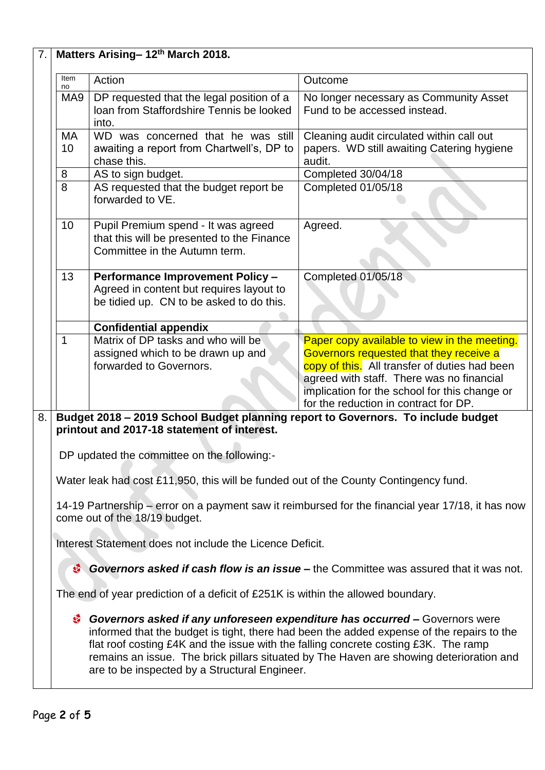| Item                                                                                                                                  | Action                                                                                | Outcome                                                                               |  |  |
|---------------------------------------------------------------------------------------------------------------------------------------|---------------------------------------------------------------------------------------|---------------------------------------------------------------------------------------|--|--|
| no                                                                                                                                    |                                                                                       |                                                                                       |  |  |
| MA <sub>9</sub>                                                                                                                       | DP requested that the legal position of a<br>Ioan from Staffordshire Tennis be looked | No longer necessary as Community Asset<br>Fund to be accessed instead.                |  |  |
|                                                                                                                                       | into.                                                                                 |                                                                                       |  |  |
| МA                                                                                                                                    | WD was concerned that he was still                                                    | Cleaning audit circulated within call out                                             |  |  |
| 10                                                                                                                                    | awaiting a report from Chartwell's, DP to                                             | papers. WD still awaiting Catering hygiene                                            |  |  |
|                                                                                                                                       | chase this.                                                                           | audit.                                                                                |  |  |
| 8                                                                                                                                     | AS to sign budget.                                                                    | Completed 30/04/18                                                                    |  |  |
| 8                                                                                                                                     | AS requested that the budget report be                                                | Completed 01/05/18                                                                    |  |  |
|                                                                                                                                       | forwarded to VE.                                                                      |                                                                                       |  |  |
| 10                                                                                                                                    | Pupil Premium spend - It was agreed                                                   | Agreed.                                                                               |  |  |
|                                                                                                                                       | that this will be presented to the Finance                                            |                                                                                       |  |  |
|                                                                                                                                       | Committee in the Autumn term.                                                         |                                                                                       |  |  |
|                                                                                                                                       |                                                                                       |                                                                                       |  |  |
| 13                                                                                                                                    | <b>Performance Improvement Policy -</b>                                               | Completed 01/05/18                                                                    |  |  |
|                                                                                                                                       | Agreed in content but requires layout to                                              |                                                                                       |  |  |
|                                                                                                                                       | be tidied up. CN to be asked to do this.                                              |                                                                                       |  |  |
|                                                                                                                                       | <b>Confidential appendix</b>                                                          |                                                                                       |  |  |
| $\mathbf 1$                                                                                                                           | Matrix of DP tasks and who will be                                                    | Paper copy available to view in the meeting.                                          |  |  |
|                                                                                                                                       | assigned which to be drawn up and                                                     | Governors requested that they receive a                                               |  |  |
|                                                                                                                                       | forwarded to Governors.                                                               | copy of this. All transfer of duties had been                                         |  |  |
|                                                                                                                                       |                                                                                       | agreed with staff. There was no financial                                             |  |  |
|                                                                                                                                       |                                                                                       | implication for the school for this change or                                         |  |  |
|                                                                                                                                       |                                                                                       | for the reduction in contract for DP.                                                 |  |  |
| Budget 2018 - 2019 School Budget planning report to Governors. To include budget<br>8.<br>printout and 2017-18 statement of interest. |                                                                                       |                                                                                       |  |  |
|                                                                                                                                       | DP updated the committee on the following:-                                           |                                                                                       |  |  |
|                                                                                                                                       | Water leak had cost £11,950, this will be funded out of the County Contingency fund.  |                                                                                       |  |  |
| 14-19 Partnership – error on a payment saw it reimbursed for the financial year 17/18, it has now<br>come out of the 18/19 budget.    |                                                                                       |                                                                                       |  |  |
|                                                                                                                                       |                                                                                       |                                                                                       |  |  |
|                                                                                                                                       | Interest Statement does not include the Licence Deficit.                              |                                                                                       |  |  |
|                                                                                                                                       |                                                                                       | Governors asked if cash flow is an issue – the Committee was assured that it was not. |  |  |
|                                                                                                                                       | The end of year prediction of a deficit of £251K is within the allowed boundary.      |                                                                                       |  |  |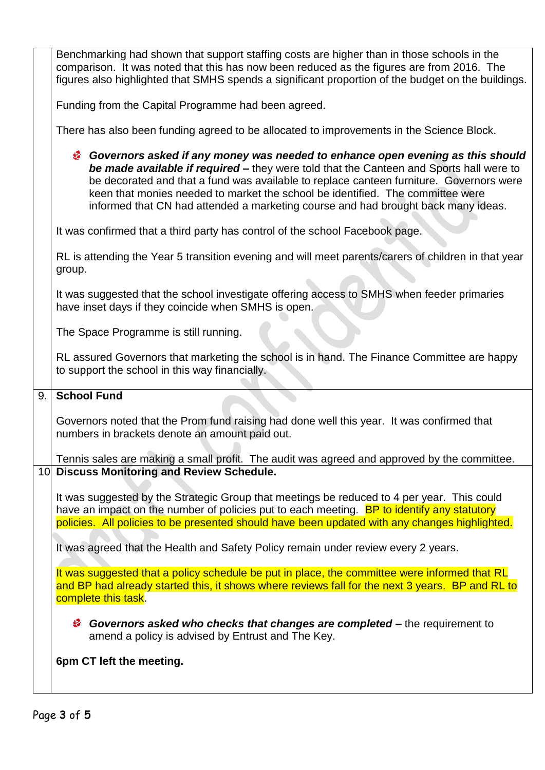|    | Benchmarking had shown that support staffing costs are higher than in those schools in the<br>comparison. It was noted that this has now been reduced as the figures are from 2016. The<br>figures also highlighted that SMHS spends a significant proportion of the budget on the buildings.                                                                                                                                                     |  |  |  |  |
|----|---------------------------------------------------------------------------------------------------------------------------------------------------------------------------------------------------------------------------------------------------------------------------------------------------------------------------------------------------------------------------------------------------------------------------------------------------|--|--|--|--|
|    | Funding from the Capital Programme had been agreed.                                                                                                                                                                                                                                                                                                                                                                                               |  |  |  |  |
|    | There has also been funding agreed to be allocated to improvements in the Science Block.                                                                                                                                                                                                                                                                                                                                                          |  |  |  |  |
|    | Governors asked if any money was needed to enhance open evening as this should<br>G.<br>be made available if required - they were told that the Canteen and Sports hall were to<br>be decorated and that a fund was available to replace canteen furniture. Governors were<br>keen that monies needed to market the school be identified. The committee were<br>informed that CN had attended a marketing course and had brought back many ideas. |  |  |  |  |
|    | It was confirmed that a third party has control of the school Facebook page.                                                                                                                                                                                                                                                                                                                                                                      |  |  |  |  |
|    | RL is attending the Year 5 transition evening and will meet parents/carers of children in that year<br>group.                                                                                                                                                                                                                                                                                                                                     |  |  |  |  |
|    | It was suggested that the school investigate offering access to SMHS when feeder primaries<br>have inset days if they coincide when SMHS is open.                                                                                                                                                                                                                                                                                                 |  |  |  |  |
|    | The Space Programme is still running.                                                                                                                                                                                                                                                                                                                                                                                                             |  |  |  |  |
|    | RL assured Governors that marketing the school is in hand. The Finance Committee are happy<br>to support the school in this way financially.                                                                                                                                                                                                                                                                                                      |  |  |  |  |
| 9. | <b>School Fund</b>                                                                                                                                                                                                                                                                                                                                                                                                                                |  |  |  |  |
|    | Governors noted that the Prom fund raising had done well this year. It was confirmed that<br>numbers in brackets denote an amount paid out.                                                                                                                                                                                                                                                                                                       |  |  |  |  |
|    | Tennis sales are making a small profit. The audit was agreed and approved by the committee.                                                                                                                                                                                                                                                                                                                                                       |  |  |  |  |
|    | 10 Discuss Monitoring and Review Schedule.                                                                                                                                                                                                                                                                                                                                                                                                        |  |  |  |  |
|    | It was suggested by the Strategic Group that meetings be reduced to 4 per year. This could<br>have an impact on the number of policies put to each meeting. BP to identify any statutory<br>policies. All policies to be presented should have been updated with any changes highlighted.                                                                                                                                                         |  |  |  |  |
|    | It was agreed that the Health and Safety Policy remain under review every 2 years.                                                                                                                                                                                                                                                                                                                                                                |  |  |  |  |
|    | It was suggested that a policy schedule be put in place, the committee were informed that RL<br>and BP had already started this, it shows where reviews fall for the next 3 years. BP and RL to<br>complete this task.                                                                                                                                                                                                                            |  |  |  |  |
|    | <b>Governors asked who checks that changes are completed –</b> the requirement to<br>amend a policy is advised by Entrust and The Key.                                                                                                                                                                                                                                                                                                            |  |  |  |  |
|    | 6pm CT left the meeting.                                                                                                                                                                                                                                                                                                                                                                                                                          |  |  |  |  |

I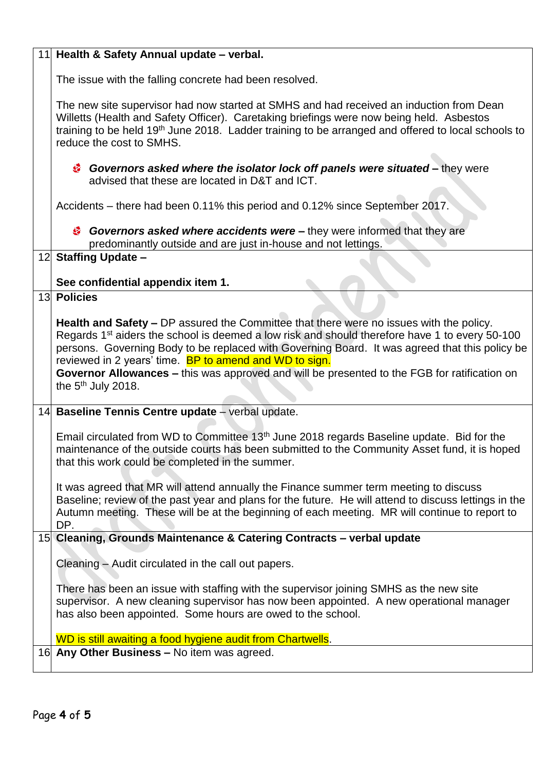| 11 Health & Safety Annual update - verbal.                                                                                                                                                                                                                                                                                                                                                                                                                                                |  |  |  |
|-------------------------------------------------------------------------------------------------------------------------------------------------------------------------------------------------------------------------------------------------------------------------------------------------------------------------------------------------------------------------------------------------------------------------------------------------------------------------------------------|--|--|--|
| The issue with the falling concrete had been resolved.                                                                                                                                                                                                                                                                                                                                                                                                                                    |  |  |  |
| The new site supervisor had now started at SMHS and had received an induction from Dean<br>Willetts (Health and Safety Officer). Caretaking briefings were now being held. Asbestos<br>training to be held 19 <sup>th</sup> June 2018. Ladder training to be arranged and offered to local schools to<br>reduce the cost to SMHS.                                                                                                                                                         |  |  |  |
| Governors asked where the isolator lock off panels were situated – they were<br>advised that these are located in D&T and ICT.                                                                                                                                                                                                                                                                                                                                                            |  |  |  |
| Accidents – there had been 0.11% this period and 0.12% since September 2017.                                                                                                                                                                                                                                                                                                                                                                                                              |  |  |  |
| Governors asked where accidents were – they were informed that they are<br>predominantly outside and are just in-house and not lettings.                                                                                                                                                                                                                                                                                                                                                  |  |  |  |
| 12 Staffing Update -                                                                                                                                                                                                                                                                                                                                                                                                                                                                      |  |  |  |
| See confidential appendix item 1.                                                                                                                                                                                                                                                                                                                                                                                                                                                         |  |  |  |
| 13 Policies                                                                                                                                                                                                                                                                                                                                                                                                                                                                               |  |  |  |
| Health and Safety - DP assured the Committee that there were no issues with the policy.<br>Regards 1 <sup>st</sup> aiders the school is deemed a low risk and should therefore have 1 to every 50-100<br>persons. Governing Body to be replaced with Governing Board. It was agreed that this policy be<br>reviewed in 2 years' time. BP to amend and WD to sign.<br>Governor Allowances - this was approved and will be presented to the FGB for ratification on<br>the $5th$ July 2018. |  |  |  |
| 14 Baseline Tennis Centre update - verbal update.                                                                                                                                                                                                                                                                                                                                                                                                                                         |  |  |  |
| Email circulated from WD to Committee 13 <sup>th</sup> June 2018 regards Baseline update. Bid for the<br>maintenance of the outside courts has been submitted to the Community Asset fund, it is hoped<br>that this work could be completed in the summer.                                                                                                                                                                                                                                |  |  |  |
| It was agreed that MR will attend annually the Finance summer term meeting to discuss<br>Baseline; review of the past year and plans for the future. He will attend to discuss lettings in the<br>Autumn meeting. These will be at the beginning of each meeting. MR will continue to report to<br>DP.                                                                                                                                                                                    |  |  |  |
| 15 Cleaning, Grounds Maintenance & Catering Contracts - verbal update                                                                                                                                                                                                                                                                                                                                                                                                                     |  |  |  |
| Cleaning – Audit circulated in the call out papers.                                                                                                                                                                                                                                                                                                                                                                                                                                       |  |  |  |
| There has been an issue with staffing with the supervisor joining SMHS as the new site<br>supervisor. A new cleaning supervisor has now been appointed. A new operational manager<br>has also been appointed. Some hours are owed to the school.                                                                                                                                                                                                                                          |  |  |  |
| WD is still awaiting a food hygiene audit from Chartwells.                                                                                                                                                                                                                                                                                                                                                                                                                                |  |  |  |
| 16 Any Other Business - No item was agreed.                                                                                                                                                                                                                                                                                                                                                                                                                                               |  |  |  |